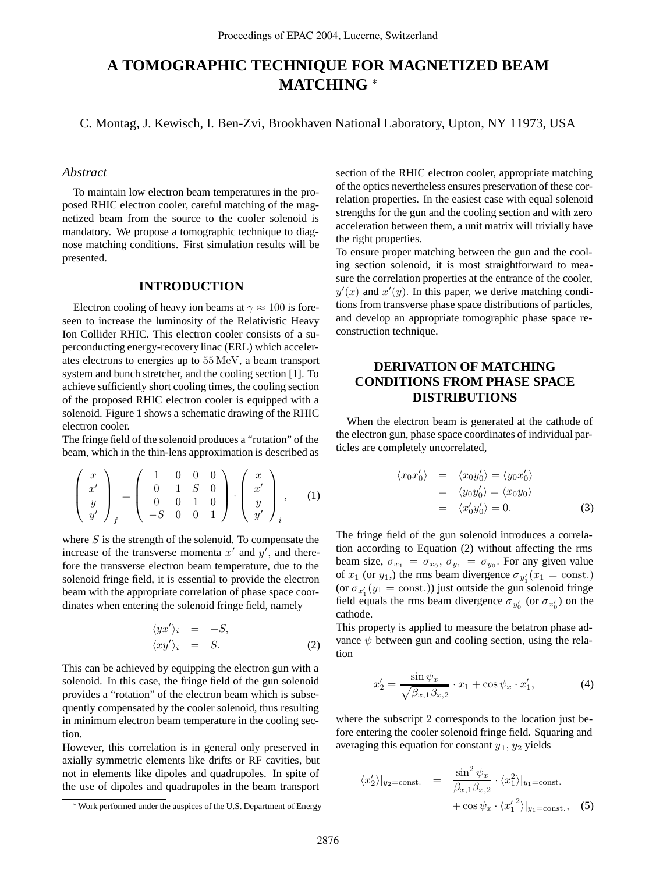# **A TOMOGRAPHIC TECHNIQUE FOR MAGNETIZED BEAM MATCHING** <sup>∗</sup>

C. Montag, J. Kewisch, I. Ben-Zvi, Brookhaven National Laboratory, Upton, NY 11973, USA

# *Abstract*

To maintain low electron beam temperatures in the proposed RHIC electron cooler, careful matching of the magnetized beam from the source to the cooler solenoid is mandatory. We propose a tomographic technique to diagnose matching conditions. First simulation results will be presented.

### **INTRODUCTION**

Electron cooling of heavy ion beams at  $\gamma \approx 100$  is foreseen to increase the luminosity of the Relativistic Heavy Ion Collider RHIC. This electron cooler consists of a superconducting energy-recovery linac (ERL) which accelerates electrons to energies up to 55 MeV, a beam transport system and bunch stretcher, and the cooling section [1]. To achieve sufficiently short cooling times, the cooling section of the proposed RHIC electron cooler is equipped with a solenoid. Figure 1 shows a schematic drawing of the RHIC electron cooler.

The fringe field of the solenoid produces a "rotation" of the beam, which in the thin-lens approximation is described as

$$
\begin{pmatrix} x \\ x' \\ y \\ y' \end{pmatrix}_f = \begin{pmatrix} 1 & 0 & 0 & 0 \\ 0 & 1 & S & 0 \\ 0 & 0 & 1 & 0 \\ -S & 0 & 0 & 1 \end{pmatrix} \cdot \begin{pmatrix} x \\ x' \\ y \\ y' \end{pmatrix}, \quad (1)
$$

where  $S$  is the strength of the solenoid. To compensate the increase of the transverse momenta  $x'$  and  $y'$ , and therefore the transverse electron beam temperature, due to the solenoid fringe field, it is essential to provide the electron beam with the appropriate correlation of phase space coordinates when entering the solenoid fringe field, namely

$$
\langle yx' \rangle_i = -S, \n\langle xy' \rangle_i = S.
$$
\n(2)

This can be achieved by equipping the electron gun with a solenoid. In this case, the fringe field of the gun solenoid provides a "rotation" of the electron beam which is subsequently compensated by the cooler solenoid, thus resulting in minimum electron beam temperature in the cooling section.

However, this correlation is in general only preserved in axially symmetric elements like drifts or RF cavities, but not in elements like dipoles and quadrupoles. In spite of the use of dipoles and quadrupoles in the beam transport

section of the RHIC electron cooler, appropriate matching of the optics nevertheless ensures preservation of these correlation properties. In the easiest case with equal solenoid strengths for the gun and the cooling section and with zero acceleration between them, a unit matrix will trivially have the right properties.

To ensure proper matching between the gun and the cooling section solenoid, it is most straightforward to measure the correlation properties at the entrance of the cooler,  $y'(x)$  and  $x'(y)$ . In this paper, we derive matching conditions from transverse phase space distributions of particles, and develop an appropriate tomographic phase space reconstruction technique.

# **DERIVATION OF MATCHING CONDITIONS FROM PHASE SPACE DISTRIBUTIONS**

When the electron beam is generated at the cathode of the electron gun, phase space coordinates of individual particles are completely uncorrelated,

$$
\langle x_0 x_0' \rangle = \langle x_0 y_0' \rangle = \langle y_0 x_0' \rangle
$$
  
=  $\langle y_0 y_0' \rangle = \langle x_0 y_0 \rangle$   
=  $\langle x_0' y_0' \rangle = 0.$  (3)

The fringe field of the gun solenoid introduces a correlation according to Equation (2) without affecting the rms beam size,  $\sigma_{x_1} = \sigma_{x_0}, \sigma_{y_1} = \sigma_{y_0}$ . For any given value of  $x_1$  (or  $y_1$ ) the rms beam divergence  $\sigma_{y_1'}(x_1 = \text{const.})$ (or  $\sigma_{x_1'}(y_1 = \text{const.})$ ) just outside the gun solenoid fringe field equals the rms beam divergence  $\sigma_{y'_0}$  (or  $\sigma_{x'_0}$ ) on the cathode.

This property is applied to measure the betatron phase advance  $\psi$  between gun and cooling section, using the relation

$$
x_2' = \frac{\sin \psi_x}{\sqrt{\beta_{x,1}\beta_{x,2}}} \cdot x_1 + \cos \psi_x \cdot x_1',\tag{4}
$$

where the subscript 2 corresponds to the location just before entering the cooler solenoid fringe field. Squaring and averaging this equation for constant  $y_1, y_2$  yields

$$
\langle x_2' \rangle|_{y_2 = \text{const.}} = \frac{\sin^2 \psi_x}{\beta_{x,1} \beta_{x,2}} \cdot \langle x_1^2 \rangle|_{y_1 = \text{const.}} + \cos \psi_x \cdot \langle x_1'{}^2 \rangle|_{y_1 = \text{const.}}, \quad (5)
$$

<sup>∗</sup>Work performed under the auspices of the U.S. Department of Energy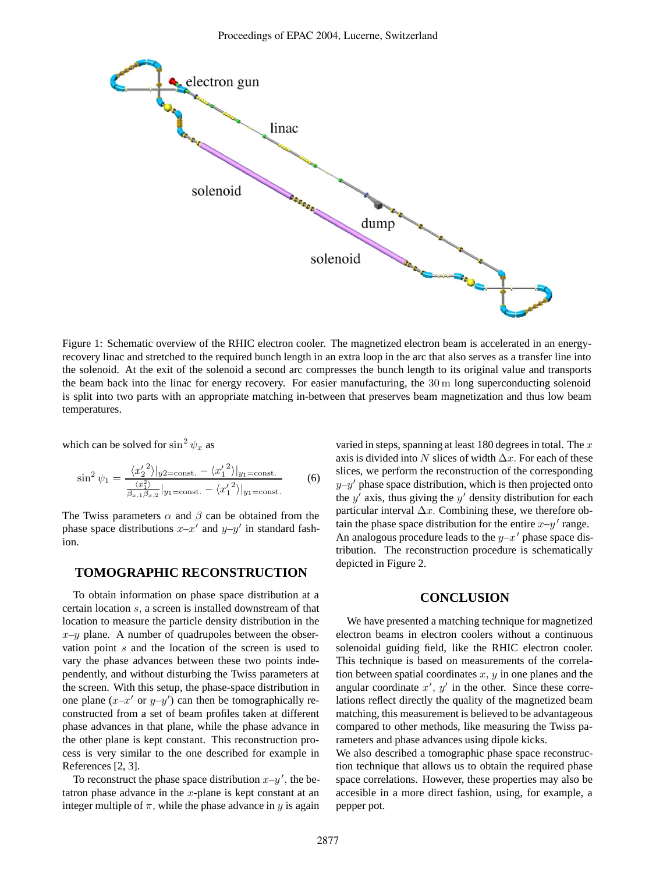

Figure 1: Schematic overview of the RHIC electron cooler. The magnetized electron beam is accelerated in an energyrecovery linac and stretched to the required bunch length in an extra loop in the arc that also serves as a transfer line into the solenoid. At the exit of the solenoid a second arc compresses the bunch length to its original value and transports the beam back into the linac for energy recovery. For easier manufacturing, the 30 m long superconducting solenoid is split into two parts with an appropriate matching in-between that preserves beam magnetization and thus low beam temperatures.

which can be solved for  $\sin^2 \psi_x$  as

$$
\sin^2 \psi_1 = \frac{\langle x_2^2 \rangle|_{y_2 = \text{const.}} - \langle x_1^2 \rangle|_{y_1 = \text{const.}}}{\frac{\langle x_1^2 \rangle}{\beta_{x,1}\beta_{x,2}}|_{y_1 = \text{const.}} - \langle x_1^2 \rangle|_{y_1 = \text{const.}}}
$$
(6)

The Twiss parameters  $\alpha$  and  $\beta$  can be obtained from the phase space distributions  $x-x'$  and  $y-y'$  in standard fashion.

# **TOMOGRAPHIC RECONSTRUCTION**

To obtain information on phase space distribution at a certain location s, a screen is installed downstream of that location to measure the particle density distribution in the  $x-y$  plane. A number of quadrupoles between the observation point s and the location of the screen is used to vary the phase advances between these two points independently, and without disturbing the Twiss parameters at the screen. With this setup, the phase-space distribution in one plane  $(x-x'$  or  $y-y'$  can then be tomographically reconstructed from a set of beam profiles taken at different phase advances in that plane, while the phase advance in the other plane is kept constant. This reconstruction process is very similar to the one described for example in References [2, 3].

To reconstruct the phase space distribution  $x-y'$ , the betatron phase advance in the  $x$ -plane is kept constant at an integer multiple of  $\pi$ , while the phase advance in y is again

varied in steps, spanning at least 180 degrees in total. The  $x$ axis is divided into N slices of width  $\Delta x$ . For each of these slices, we perform the reconstruction of the corresponding  $y-y'$  phase space distribution, which is then projected onto the  $y'$  axis, thus giving the  $y'$  density distribution for each particular interval  $\Delta x$ . Combining these, we therefore obtain the phase space distribution for the entire  $x-y'$  range. An analogous procedure leads to the  $y-x'$  phase space distribution. The reconstruction procedure is schematically depicted in Figure 2.

#### **CONCLUSION**

We have presented a matching technique for magnetized electron beams in electron coolers without a continuous solenoidal guiding field, like the RHIC electron cooler. This technique is based on measurements of the correlation between spatial coordinates  $x, y$  in one planes and the angular coordinate  $x'$ ,  $y'$  in the other. Since these correlations reflect directly the quality of the magnetized beam matching, this measurement is believed to be advantageous compared to other methods, like measuring the Twiss parameters and phase advances using dipole kicks.

We also described a tomographic phase space reconstruction technique that allows us to obtain the required phase space correlations. However, these properties may also be accesible in a more direct fashion, using, for example, a pepper pot.